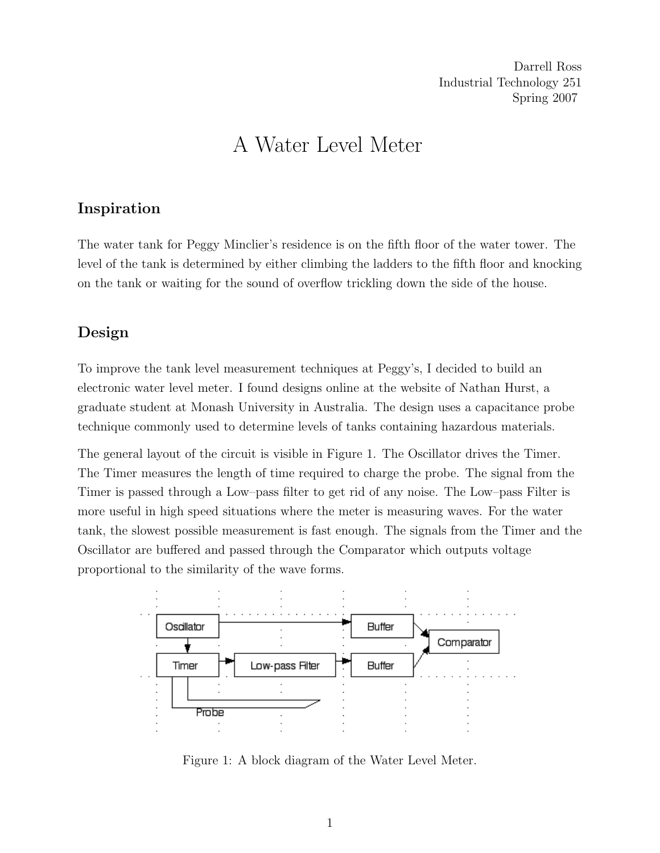Darrell Ross Industrial Technology 251 Spring 2007

# A Water Level Meter

## Inspiration

The water tank for Peggy Minclier's residence is on the fifth floor of the water tower. The level of the tank is determined by either climbing the ladders to the fifth floor and knocking on the tank or waiting for the sound of overflow trickling down the side of the house.

## Design

To improve the tank level measurement techniques at Peggy's, I decided to build an electronic water level meter. I found designs online at the website of Nathan Hurst, a graduate student at Monash University in Australia. The design uses a capacitance probe technique commonly used to determine levels of tanks containing hazardous materials.

The general layout of the circuit is visible in Figure 1. The Oscillator drives the Timer. The Timer measures the length of time required to charge the probe. The signal from the Timer is passed through a Low–pass filter to get rid of any noise. The Low–pass Filter is more useful in high speed situations where the meter is measuring waves. For the water tank, the slowest possible measurement is fast enough. The signals from the Timer and the Oscillator are buffered and passed through the Comparator which outputs voltage proportional to the similarity of the wave forms.



Figure 1: A block diagram of the Water Level Meter.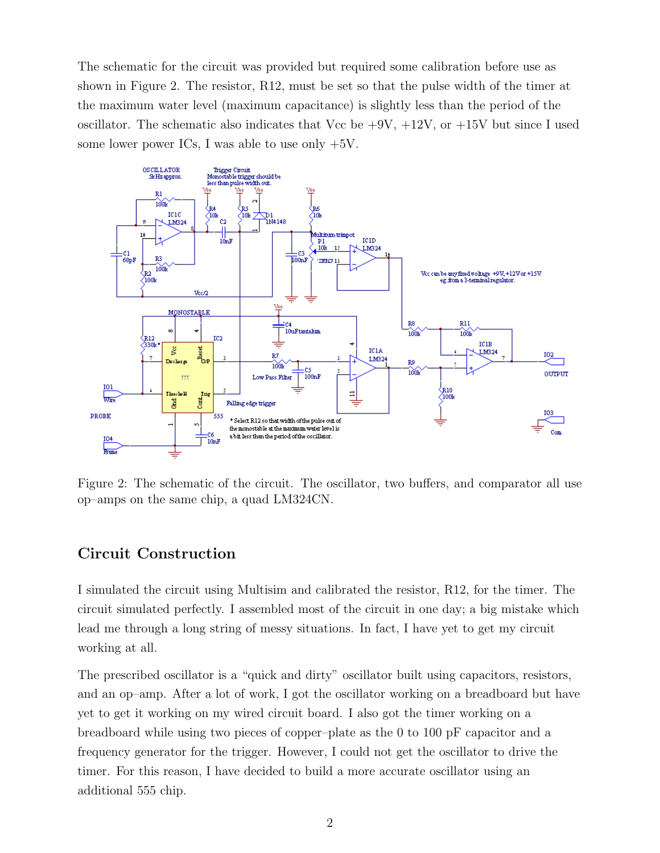The schematic for the circuit was provided but required some calibration before use as shown in Figure 2. The resistor, R12, must be set so that the pulse width of the timer at the maximum water level (maximum capacitance) is slightly less than the period of the oscillator. The schematic also indicates that Vcc be  $+9V$ ,  $+12V$ , or  $+15V$  but since I used some lower power ICs, I was able to use only  $+5V$ .



Figure 2: The schematic of the circuit. The oscillator, two buffers, and comparator all use op–amps on the same chip, a quad LM324CN.

## Circuit Construction

I simulated the circuit using Multisim and calibrated the resistor, R12, for the timer. The circuit simulated perfectly. I assembled most of the circuit in one day; a big mistake which lead me through a long string of messy situations. In fact, I have yet to get my circuit working at all.

The prescribed oscillator is a "quick and dirty" oscillator built using capacitors, resistors, and an op–amp. After a lot of work, I got the oscillator working on a breadboard but have yet to get it working on my wired circuit board. I also got the timer working on a breadboard while using two pieces of copper–plate as the 0 to 100 pF capacitor and a frequency generator for the trigger. However, I could not get the oscillator to drive the timer. For this reason, I have decided to build a more accurate oscillator using an additional 555 chip.